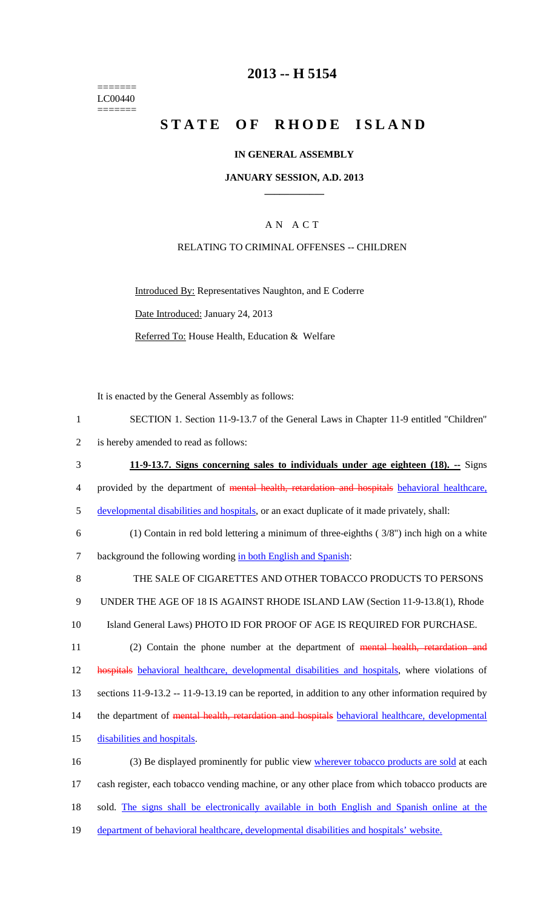======= LC00440  $=$ 

# **2013 -- H 5154**

# STATE OF RHODE ISLAND

### **IN GENERAL ASSEMBLY**

### **JANUARY SESSION, A.D. 2013 \_\_\_\_\_\_\_\_\_\_\_\_**

### A N A C T

### RELATING TO CRIMINAL OFFENSES -- CHILDREN

Introduced By: Representatives Naughton, and E Coderre Date Introduced: January 24, 2013 Referred To: House Health, Education & Welfare

It is enacted by the General Assembly as follows:

| $\mathbf{1}$   | SECTION 1. Section 11-9-13.7 of the General Laws in Chapter 11-9 entitled "Children"                |
|----------------|-----------------------------------------------------------------------------------------------------|
| $\overline{2}$ | is hereby amended to read as follows:                                                               |
| 3              | 11-9-13.7. Signs concerning sales to individuals under age eighteen (18). -- Signs                  |
| $\overline{4}$ | provided by the department of mental health, retardation and hospitals behavioral healthcare,       |
| 5              | developmental disabilities and hospitals, or an exact duplicate of it made privately, shall:        |
| 6              | $(1)$ Contain in red bold lettering a minimum of three-eighths $(3/8")$ inch high on a white        |
| $\tau$         | background the following wording in both English and Spanish:                                       |
| $8\,$          | THE SALE OF CIGARETTES AND OTHER TOBACCO PRODUCTS TO PERSONS                                        |
| $\mathbf{9}$   | UNDER THE AGE OF 18 IS AGAINST RHODE ISLAND LAW (Section 11-9-13.8(1), Rhode                        |
| 10             | Island General Laws) PHOTO ID FOR PROOF OF AGE IS REQUIRED FOR PURCHASE.                            |
| 11             | (2) Contain the phone number at the department of mental health, retardation and                    |
| 12             | hospitals behavioral healthcare, developmental disabilities and hospitals, where violations of      |
| 13             | sections $11-9-13.2 - 11-9-13.19$ can be reported, in addition to any other information required by |
| 14             | the department of mental health, retardation and hospitals behavioral healthcare, developmental     |
| 15             | disabilities and hospitals.                                                                         |
| 16             | (3) Be displayed prominently for public view wherever tobacco products are sold at each             |
| 17             | cash register, each tobacco vending machine, or any other place from which tobacco products are     |
| 18             | sold. The signs shall be electronically available in both English and Spanish online at the         |
| 19             | department of behavioral healthcare, developmental disabilities and hospitals' website.             |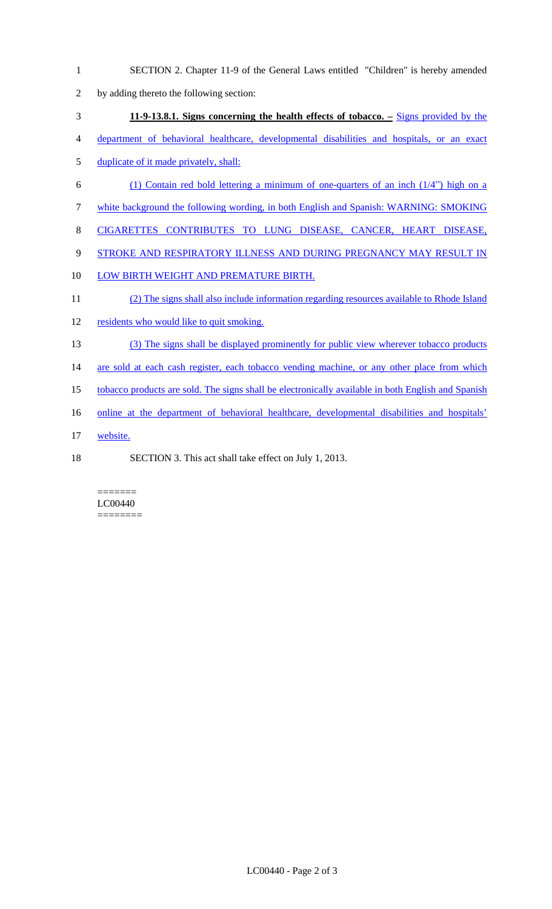- 1 SECTION 2. Chapter 11-9 of the General Laws entitled "Children" is hereby amended
- 2 by adding thereto the following section:
- 3 **11-9-13.8.1. Signs concerning the health effects of tobacco. –** Signs provided by the
- 4 department of behavioral healthcare, developmental disabilities and hospitals, or an exact
- 5 duplicate of it made privately, shall:
- 6 (1) Contain red bold lettering a minimum of one-quarters of an inch  $(1/4)$  high on a
- 7 white background the following wording, in both English and Spanish: WARNING: SMOKING
- 8 CIGARETTES CONTRIBUTES TO LUNG DISEASE, CANCER, HEART DISEASE,
- 9 STROKE AND RESPIRATORY ILLNESS AND DURING PREGNANCY MAY RESULT IN
- 10 LOW BIRTH WEIGHT AND PREMATURE BIRTH.
- 11 (2) The signs shall also include information regarding resources available to Rhode Island
- 12 residents who would like to quit smoking.
- 13 (3) The signs shall be displayed prominently for public view wherever tobacco products
- 14 are sold at each cash register, each tobacco vending machine, or any other place from which
- 15 tobacco products are sold. The signs shall be electronically available in both English and Spanish
- 16 online at the department of behavioral healthcare, developmental disabilities and hospitals'
- 17 website.
- 
- 18 SECTION 3. This act shall take effect on July 1, 2013.

#### ======= LC00440 ========